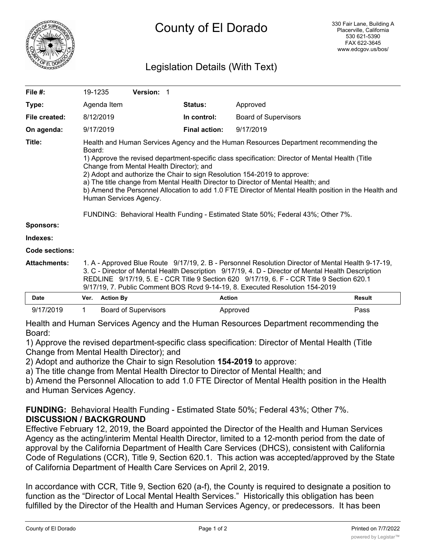

# Legislation Details (With Text)

| File #:               | 19-1235                                                                                                                                                                                                                                                                                                                                                                                                                                                                                                                                                                                                                                |                  | Version: 1                  |                      |                             |               |
|-----------------------|----------------------------------------------------------------------------------------------------------------------------------------------------------------------------------------------------------------------------------------------------------------------------------------------------------------------------------------------------------------------------------------------------------------------------------------------------------------------------------------------------------------------------------------------------------------------------------------------------------------------------------------|------------------|-----------------------------|----------------------|-----------------------------|---------------|
| Type:                 |                                                                                                                                                                                                                                                                                                                                                                                                                                                                                                                                                                                                                                        | Agenda Item      |                             | <b>Status:</b>       | Approved                    |               |
| File created:         |                                                                                                                                                                                                                                                                                                                                                                                                                                                                                                                                                                                                                                        | 8/12/2019        |                             | In control:          | <b>Board of Supervisors</b> |               |
| On agenda:            |                                                                                                                                                                                                                                                                                                                                                                                                                                                                                                                                                                                                                                        | 9/17/2019        |                             | <b>Final action:</b> | 9/17/2019                   |               |
| Title:                | Health and Human Services Agency and the Human Resources Department recommending the<br>Board:<br>1) Approve the revised department-specific class specification: Director of Mental Health (Title<br>Change from Mental Health Director); and<br>2) Adopt and authorize the Chair to sign Resolution 154-2019 to approve:<br>a) The title change from Mental Health Director to Director of Mental Health; and<br>b) Amend the Personnel Allocation to add 1.0 FTE Director of Mental Health position in the Health and<br>Human Services Agency.<br>FUNDING: Behavioral Health Funding - Estimated State 50%; Federal 43%; Other 7%. |                  |                             |                      |                             |               |
| <b>Sponsors:</b>      |                                                                                                                                                                                                                                                                                                                                                                                                                                                                                                                                                                                                                                        |                  |                             |                      |                             |               |
| Indexes:              |                                                                                                                                                                                                                                                                                                                                                                                                                                                                                                                                                                                                                                        |                  |                             |                      |                             |               |
| <b>Code sections:</b> |                                                                                                                                                                                                                                                                                                                                                                                                                                                                                                                                                                                                                                        |                  |                             |                      |                             |               |
| Attachments:          | 1. A - Approved Blue Route 9/17/19, 2. B - Personnel Resolution Director of Mental Health 9-17-19,<br>3. C - Director of Mental Health Description 9/17/19, 4. D - Director of Mental Health Description<br>REDLINE 9/17/19, 5. E - CCR Title 9 Section 620 9/17/19, 6. F - CCR Title 9 Section 620.1<br>9/17/19, 7. Public Comment BOS Rcvd 9-14-19, 8. Executed Resolution 154-2019                                                                                                                                                                                                                                                  |                  |                             |                      |                             |               |
| <b>Date</b>           | Ver.                                                                                                                                                                                                                                                                                                                                                                                                                                                                                                                                                                                                                                   | <b>Action By</b> |                             | <b>Action</b>        |                             | <b>Result</b> |
| 9/17/2019             |                                                                                                                                                                                                                                                                                                                                                                                                                                                                                                                                                                                                                                        |                  | <b>Board of Supervisors</b> |                      | Approved                    | Pass          |

| Health and Human Services Agency and the Human Resources Department recommending the |  |
|--------------------------------------------------------------------------------------|--|
| Board:                                                                               |  |

1) Approve the revised department-specific class specification: Director of Mental Health (Title Change from Mental Health Director); and

2) Adopt and authorize the Chair to sign Resolution **154-2019** to approve:

a) The title change from Mental Health Director to Director of Mental Health; and

b) Amend the Personnel Allocation to add 1.0 FTE Director of Mental Health position in the Health and Human Services Agency.

# **FUNDING:** Behavioral Health Funding - Estimated State 50%; Federal 43%; Other 7%. **DISCUSSION / BACKGROUND**

Effective February 12, 2019, the Board appointed the Director of the Health and Human Services Agency as the acting/interim Mental Health Director, limited to a 12-month period from the date of approval by the California Department of Health Care Services (DHCS), consistent with California Code of Regulations (CCR), Title 9, Section 620.1. This action was accepted/approved by the State of California Department of Health Care Services on April 2, 2019.

In accordance with CCR, Title 9, Section 620 (a-f), the County is required to designate a position to function as the "Director of Local Mental Health Services." Historically this obligation has been fulfilled by the Director of the Health and Human Services Agency, or predecessors. It has been